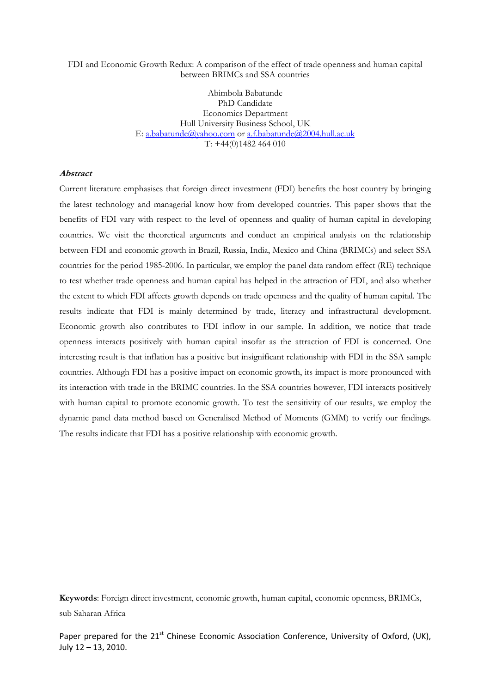FDI and Economic Growth Redux: A comparison of the effect of trade openness and human capital between BRIMCs and SSA countries

> Abimbola Babatunde PhD Candidate Economics Department Hull University Business School, UK E: a.babatunde@yahoo.com or a.f.babatunde@2004.hull.ac.uk T: +44(0)1482 464 010

#### Abstract

Current literature emphasises that foreign direct investment (FDI) benefits the host country by bringing the latest technology and managerial know how from developed countries. This paper shows that the benefits of FDI vary with respect to the level of openness and quality of human capital in developing countries. We visit the theoretical arguments and conduct an empirical analysis on the relationship between FDI and economic growth in Brazil, Russia, India, Mexico and China (BRIMCs) and select SSA countries for the period 1985-2006. In particular, we employ the panel data random effect (RE) technique to test whether trade openness and human capital has helped in the attraction of FDI, and also whether the extent to which FDI affects growth depends on trade openness and the quality of human capital. The results indicate that FDI is mainly determined by trade, literacy and infrastructural development. Economic growth also contributes to FDI inflow in our sample. In addition, we notice that trade openness interacts positively with human capital insofar as the attraction of FDI is concerned. One interesting result is that inflation has a positive but insignificant relationship with FDI in the SSA sample countries. Although FDI has a positive impact on economic growth, its impact is more pronounced with its interaction with trade in the BRIMC countries. In the SSA countries however, FDI interacts positively with human capital to promote economic growth. To test the sensitivity of our results, we employ the dynamic panel data method based on Generalised Method of Moments (GMM) to verify our findings. The results indicate that FDI has a positive relationship with economic growth.

Keywords: Foreign direct investment, economic growth, human capital, economic openness, BRIMCs, sub Saharan Africa

Paper prepared for the 21<sup>st</sup> Chinese Economic Association Conference, University of Oxford, (UK), July 12 – 13, 2010.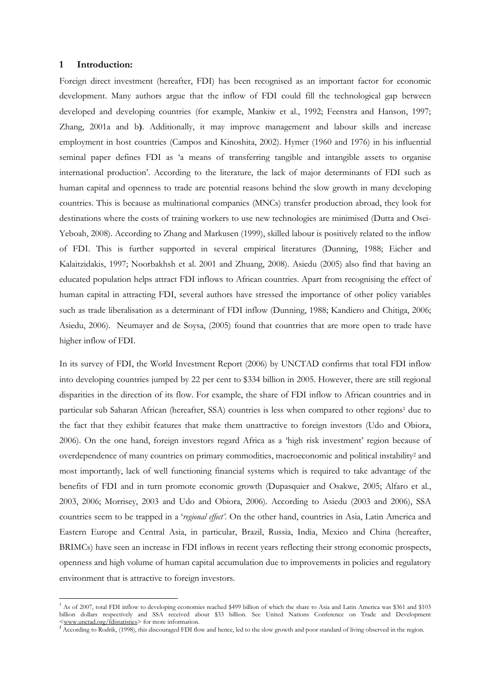## 1 Introduction:

 $\overline{a}$ 

Foreign direct investment (hereafter, FDI) has been recognised as an important factor for economic development. Many authors argue that the inflow of FDI could fill the technological gap between developed and developing countries (for example, Mankiw et al., 1992; Feenstra and Hanson, 1997; Zhang, 2001a and b). Additionally, it may improve management and labour skills and increase employment in host countries (Campos and Kinoshita, 2002). Hymer (1960 and 1976) in his influential seminal paper defines FDI as 'a means of transferring tangible and intangible assets to organise international production'. According to the literature, the lack of major determinants of FDI such as human capital and openness to trade are potential reasons behind the slow growth in many developing countries. This is because as multinational companies (MNCs) transfer production abroad, they look for destinations where the costs of training workers to use new technologies are minimised (Dutta and Osei-Yeboah, 2008). According to Zhang and Markusen (1999), skilled labour is positively related to the inflow of FDI. This is further supported in several empirical literatures (Dunning, 1988; Eicher and Kalaitzidakis, 1997; Noorbakhsh et al. 2001 and Zhuang, 2008). Asiedu (2005) also find that having an educated population helps attract FDI inflows to African countries. Apart from recognising the effect of human capital in attracting FDI, several authors have stressed the importance of other policy variables such as trade liberalisation as a determinant of FDI inflow (Dunning, 1988; Kandiero and Chitiga, 2006; Asiedu, 2006). Neumayer and de Soysa, (2005) found that countries that are more open to trade have higher inflow of FDI.

In its survey of FDI, the World Investment Report (2006) by UNCTAD confirms that total FDI inflow into developing countries jumped by 22 per cent to \$334 billion in 2005. However, there are still regional disparities in the direction of its flow. For example, the share of FDI inflow to African countries and in particular sub Saharan African (hereafter, SSA) countries is less when compared to other regions<sup>1</sup> due to the fact that they exhibit features that make them unattractive to foreign investors (Udo and Obiora, 2006). On the one hand, foreign investors regard Africa as a 'high risk investment' region because of overdependence of many countries on primary commodities, macroeconomic and political instability<sup>2</sup> and most importantly, lack of well functioning financial systems which is required to take advantage of the benefits of FDI and in turn promote economic growth (Dupasquier and Osakwe, 2005; Alfaro et al., 2003, 2006; Morrisey, 2003 and Udo and Obiora, 2006). According to Asiedu (2003 and 2006), SSA countries seem to be trapped in a 'regional effect'. On the other hand, countries in Asia, Latin America and Eastern Europe and Central Asia, in particular, Brazil, Russia, India, Mexico and China (hereafter, BRIMCs) have seen an increase in FDI inflows in recent years reflecting their strong economic prospects, openness and high volume of human capital accumulation due to improvements in policies and regulatory environment that is attractive to foreign investors.

<sup>&</sup>lt;sup>1</sup> As of 2007, total FDI inflow to developing economies reached \$499 billion of which the share to Asia and Latin America was \$361 and \$103 billion dollars respectively and SSA received about \$33 billion. See United Nations Conference on Trade and Development <www.unctad.org/fdistatistics> for more information.

<sup>&</sup>lt;sup>2</sup> According to Rodrik, (1998), this discouraged FDI flow and hence, led to the slow growth and poor standard of living observed in the region.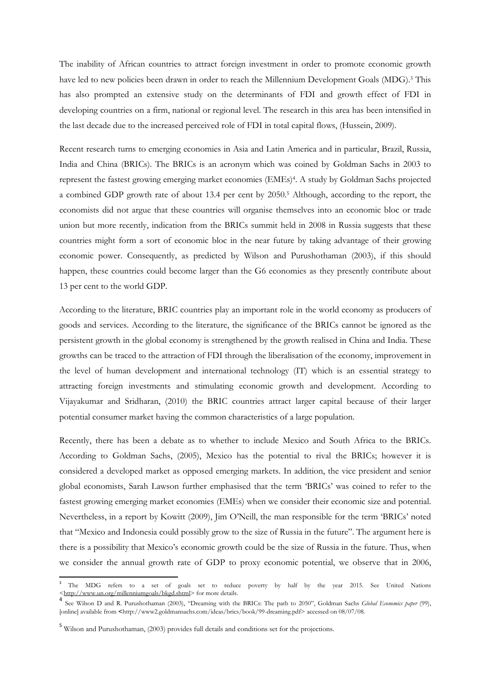The inability of African countries to attract foreign investment in order to promote economic growth have led to new policies been drawn in order to reach the Millennium Development Goals (MDG).<sup>3</sup> This has also prompted an extensive study on the determinants of FDI and growth effect of FDI in developing countries on a firm, national or regional level. The research in this area has been intensified in the last decade due to the increased perceived role of FDI in total capital flows, (Hussein, 2009).

Recent research turns to emerging economies in Asia and Latin America and in particular, Brazil, Russia, India and China (BRICs). The BRICs is an acronym which was coined by Goldman Sachs in 2003 to represent the fastest growing emerging market economies (EMEs)<sup>4</sup> . A study by Goldman Sachs projected a combined GDP growth rate of about 13.4 per cent by 2050.<sup>5</sup> Although, according to the report, the economists did not argue that these countries will organise themselves into an economic bloc or trade union but more recently, indication from the BRICs summit held in 2008 in Russia suggests that these countries might form a sort of economic bloc in the near future by taking advantage of their growing economic power. Consequently, as predicted by Wilson and Purushothaman (2003), if this should happen, these countries could become larger than the G6 economies as they presently contribute about 13 per cent to the world GDP.

According to the literature, BRIC countries play an important role in the world economy as producers of goods and services. According to the literature, the significance of the BRICs cannot be ignored as the persistent growth in the global economy is strengthened by the growth realised in China and India. These growths can be traced to the attraction of FDI through the liberalisation of the economy, improvement in the level of human development and international technology (IT) which is an essential strategy to attracting foreign investments and stimulating economic growth and development. According to Vijayakumar and Sridharan, (2010) the BRIC countries attract larger capital because of their larger potential consumer market having the common characteristics of a large population.

Recently, there has been a debate as to whether to include Mexico and South Africa to the BRICs. According to Goldman Sachs, (2005), Mexico has the potential to rival the BRICs; however it is considered a developed market as opposed emerging markets. In addition, the vice president and senior global economists, Sarah Lawson further emphasised that the term 'BRICs' was coined to refer to the fastest growing emerging market economies (EMEs) when we consider their economic size and potential. Nevertheless, in a report by Kowitt (2009), Jim O'Neill, the man responsible for the term 'BRICs' noted that "Mexico and Indonesia could possibly grow to the size of Russia in the future". The argument here is there is a possibility that Mexico's economic growth could be the size of Russia in the future. Thus, when we consider the annual growth rate of GDP to proxy economic potential, we observe that in 2006,

l

<sup>&</sup>lt;sup>3</sup> The MDG refers to a set of goals set to reduce poverty by half by the year 2015. See United Nations <http://www.un.org/millenniumgoals/bkgd.shtml> for more details.

<sup>4</sup> See Wilson D and R. Purushothaman (2003), "Dreaming with the BRICs: The path to 2050", Goldman Sachs Global Economics paper (99), [online] available from <http://www2.goldmansachs.com/ideas/brics/book/99-dreaming.pdf> accessed on 08/07/08.

<sup>5</sup> Wilson and Purushothaman, (2003) provides full details and conditions set for the projections.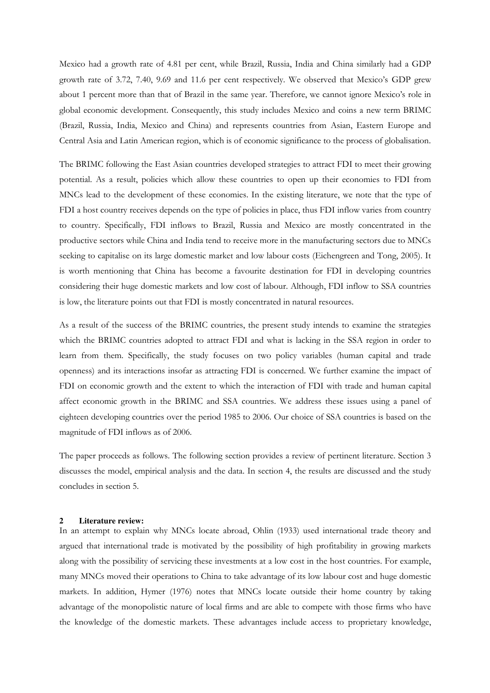Mexico had a growth rate of 4.81 per cent, while Brazil, Russia, India and China similarly had a GDP growth rate of 3.72, 7.40, 9.69 and 11.6 per cent respectively. We observed that Mexico's GDP grew about 1 percent more than that of Brazil in the same year. Therefore, we cannot ignore Mexico's role in global economic development. Consequently, this study includes Mexico and coins a new term BRIMC (Brazil, Russia, India, Mexico and China) and represents countries from Asian, Eastern Europe and Central Asia and Latin American region, which is of economic significance to the process of globalisation.

The BRIMC following the East Asian countries developed strategies to attract FDI to meet their growing potential. As a result, policies which allow these countries to open up their economies to FDI from MNCs lead to the development of these economies. In the existing literature, we note that the type of FDI a host country receives depends on the type of policies in place, thus FDI inflow varies from country to country. Specifically, FDI inflows to Brazil, Russia and Mexico are mostly concentrated in the productive sectors while China and India tend to receive more in the manufacturing sectors due to MNCs seeking to capitalise on its large domestic market and low labour costs (Eichengreen and Tong, 2005). It is worth mentioning that China has become a favourite destination for FDI in developing countries considering their huge domestic markets and low cost of labour. Although, FDI inflow to SSA countries is low, the literature points out that FDI is mostly concentrated in natural resources.

As a result of the success of the BRIMC countries, the present study intends to examine the strategies which the BRIMC countries adopted to attract FDI and what is lacking in the SSA region in order to learn from them. Specifically, the study focuses on two policy variables (human capital and trade openness) and its interactions insofar as attracting FDI is concerned. We further examine the impact of FDI on economic growth and the extent to which the interaction of FDI with trade and human capital affect economic growth in the BRIMC and SSA countries. We address these issues using a panel of eighteen developing countries over the period 1985 to 2006. Our choice of SSA countries is based on the magnitude of FDI inflows as of 2006.

The paper proceeds as follows. The following section provides a review of pertinent literature. Section 3 discusses the model, empirical analysis and the data. In section 4, the results are discussed and the study concludes in section 5.

#### **2 Literature review:**

In an attempt to explain why MNCs locate abroad, Ohlin (1933) used international trade theory and argued that international trade is motivated by the possibility of high profitability in growing markets along with the possibility of servicing these investments at a low cost in the host countries. For example, many MNCs moved their operations to China to take advantage of its low labour cost and huge domestic markets. In addition, Hymer (1976) notes that MNCs locate outside their home country by taking advantage of the monopolistic nature of local firms and are able to compete with those firms who have the knowledge of the domestic markets. These advantages include access to proprietary knowledge,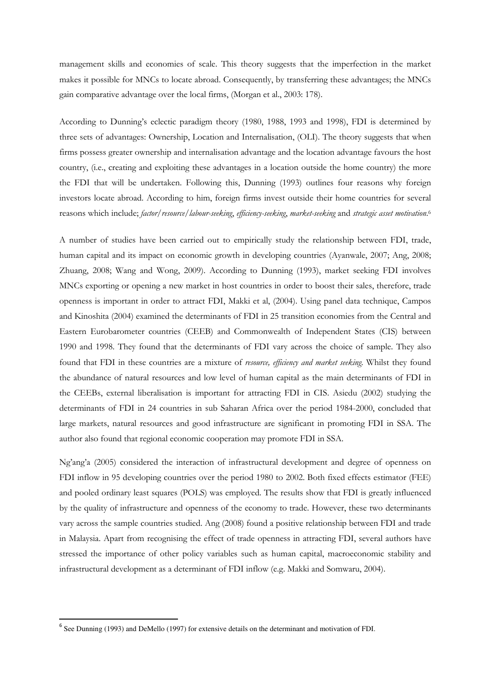management skills and economies of scale. This theory suggests that the imperfection in the market makes it possible for MNCs to locate abroad. Consequently, by transferring these advantages; the MNCs gain comparative advantage over the local firms, (Morgan et al., 2003: 178).

According to Dunning's eclectic paradigm theory (1980, 1988, 1993 and 1998), FDI is determined by three sets of advantages: Ownership, Location and Internalisation, (OLI). The theory suggests that when firms possess greater ownership and internalisation advantage and the location advantage favours the host country, (i.e., creating and exploiting these advantages in a location outside the home country) the more the FDI that will be undertaken. Following this, Dunning (1993) outlines four reasons why foreign investors locate abroad. According to him, foreign firms invest outside their home countries for several reasons which include; factor/resource/labour-seeking, efficiency-seeking, market-seeking and strategic asset motivation.6

A number of studies have been carried out to empirically study the relationship between FDI, trade, human capital and its impact on economic growth in developing countries (Ayanwale, 2007; Ang, 2008; Zhuang, 2008; Wang and Wong, 2009). According to Dunning (1993), market seeking FDI involves MNCs exporting or opening a new market in host countries in order to boost their sales, therefore, trade openness is important in order to attract FDI, Makki et al, (2004). Using panel data technique, Campos and Kinoshita (2004) examined the determinants of FDI in 25 transition economies from the Central and Eastern Eurobarometer countries (CEEB) and Commonwealth of Independent States (CIS) between 1990 and 1998. They found that the determinants of FDI vary across the choice of sample. They also found that FDI in these countries are a mixture of resource, efficiency and market seeking. Whilst they found the abundance of natural resources and low level of human capital as the main determinants of FDI in the CEEBs, external liberalisation is important for attracting FDI in CIS. Asiedu (2002) studying the determinants of FDI in 24 countries in sub Saharan Africa over the period 1984-2000, concluded that large markets, natural resources and good infrastructure are significant in promoting FDI in SSA. The author also found that regional economic cooperation may promote FDI in SSA.

Ng'ang'a (2005) considered the interaction of infrastructural development and degree of openness on FDI inflow in 95 developing countries over the period 1980 to 2002. Both fixed effects estimator (FEE) and pooled ordinary least squares (POLS) was employed. The results show that FDI is greatly influenced by the quality of infrastructure and openness of the economy to trade. However, these two determinants vary across the sample countries studied. Ang (2008) found a positive relationship between FDI and trade in Malaysia. Apart from recognising the effect of trade openness in attracting FDI, several authors have stressed the importance of other policy variables such as human capital, macroeconomic stability and infrastructural development as a determinant of FDI inflow (e.g. Makki and Somwaru, 2004).

 $\overline{a}$ 

<sup>&</sup>lt;sup>6</sup> See Dunning (1993) and DeMello (1997) for extensive details on the determinant and motivation of FDI.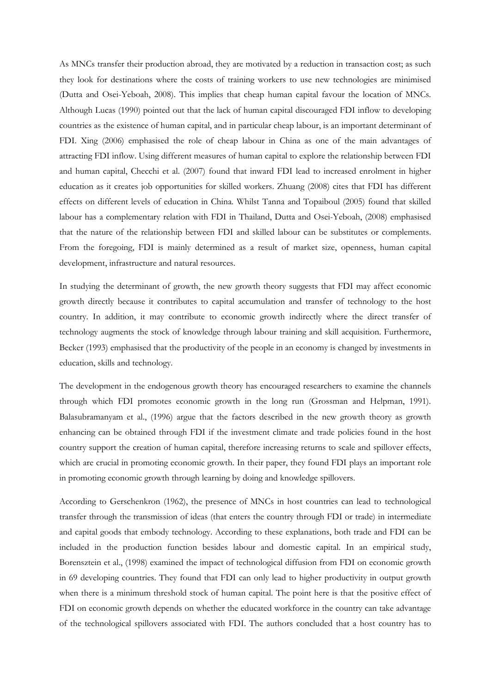As MNCs transfer their production abroad, they are motivated by a reduction in transaction cost; as such they look for destinations where the costs of training workers to use new technologies are minimised (Dutta and Osei-Yeboah, 2008). This implies that cheap human capital favour the location of MNCs. Although Lucas (1990) pointed out that the lack of human capital discouraged FDI inflow to developing countries as the existence of human capital, and in particular cheap labour, is an important determinant of FDI. Xing (2006) emphasised the role of cheap labour in China as one of the main advantages of attracting FDI inflow. Using different measures of human capital to explore the relationship between FDI and human capital, Checchi et al. (2007) found that inward FDI lead to increased enrolment in higher education as it creates job opportunities for skilled workers. Zhuang (2008) cites that FDI has different effects on different levels of education in China. Whilst Tanna and Topaiboul (2005) found that skilled labour has a complementary relation with FDI in Thailand, Dutta and Osei-Yeboah, (2008) emphasised that the nature of the relationship between FDI and skilled labour can be substitutes or complements. From the foregoing, FDI is mainly determined as a result of market size, openness, human capital development, infrastructure and natural resources.

In studying the determinant of growth, the new growth theory suggests that FDI may affect economic growth directly because it contributes to capital accumulation and transfer of technology to the host country. In addition, it may contribute to economic growth indirectly where the direct transfer of technology augments the stock of knowledge through labour training and skill acquisition. Furthermore, Becker (1993) emphasised that the productivity of the people in an economy is changed by investments in education, skills and technology.

The development in the endogenous growth theory has encouraged researchers to examine the channels through which FDI promotes economic growth in the long run (Grossman and Helpman, 1991). Balasubramanyam et al., (1996) argue that the factors described in the new growth theory as growth enhancing can be obtained through FDI if the investment climate and trade policies found in the host country support the creation of human capital, therefore increasing returns to scale and spillover effects, which are crucial in promoting economic growth. In their paper, they found FDI plays an important role in promoting economic growth through learning by doing and knowledge spillovers.

According to Gerschenkron (1962), the presence of MNCs in host countries can lead to technological transfer through the transmission of ideas (that enters the country through FDI or trade) in intermediate and capital goods that embody technology. According to these explanations, both trade and FDI can be included in the production function besides labour and domestic capital. In an empirical study, Borensztein et al., (1998) examined the impact of technological diffusion from FDI on economic growth in 69 developing countries. They found that FDI can only lead to higher productivity in output growth when there is a minimum threshold stock of human capital. The point here is that the positive effect of FDI on economic growth depends on whether the educated workforce in the country can take advantage of the technological spillovers associated with FDI. The authors concluded that a host country has to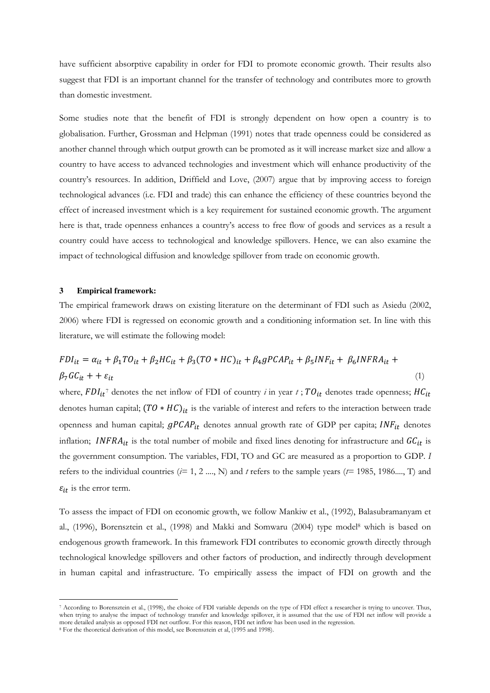have sufficient absorptive capability in order for FDI to promote economic growth. Their results also suggest that FDI is an important channel for the transfer of technology and contributes more to growth than domestic investment.

Some studies note that the benefit of FDI is strongly dependent on how open a country is to globalisation. Further, Grossman and Helpman (1991) notes that trade openness could be considered as another channel through which output growth can be promoted as it will increase market size and allow a country to have access to advanced technologies and investment which will enhance productivity of the country's resources. In addition, Driffield and Love, (2007) argue that by improving access to foreign technological advances (i.e. FDI and trade) this can enhance the efficiency of these countries beyond the effect of increased investment which is a key requirement for sustained economic growth. The argument here is that, trade openness enhances a country's access to free flow of goods and services as a result a country could have access to technological and knowledge spillovers. Hence, we can also examine the impact of technological diffusion and knowledge spillover from trade on economic growth.

#### **3 Empirical framework:**

l

The empirical framework draws on existing literature on the determinant of FDI such as Asiedu (2002, 2006) where FDI is regressed on economic growth and a conditioning information set. In line with this literature, we will estimate the following model:

$$
FDI_{it} = \alpha_{it} + \beta_1 TO_{it} + \beta_2 HC_{it} + \beta_3 (TO * HC)_{it} + \beta_4 gPCAP_{it} + \beta_5 INF_{it} + \beta_6 INFRA_{it} +
$$
  
\n
$$
\beta_7 GC_{it} + + \varepsilon_{it}
$$
\n(1)

where,  $F D I_{it}$ <sup>7</sup> denotes the net inflow of FDI of country  $i$  in year  $t$  ;  $T O_{it}$  denotes trade openness;  $H C_{it}$ denotes human capital;  $(TO * HC)_{it}$  is the variable of interest and refers to the interaction between trade openness and human capital;  $gPCAP_{it}$  denotes annual growth rate of GDP per capita;  $INF_{it}$  denotes inflation; INFRA<sub>it</sub> is the total number of mobile and fixed lines denoting for infrastructure and  $GC_{it}$  is the government consumption. The variables, FDI, TO and GC are measured as a proportion to GDP. I refers to the individual countries ( $i= 1, 2, ..., N$ ) and t refers to the sample years ( $t= 1985, 1986..., T$ ) and  $\varepsilon_{it}$  is the error term.

To assess the impact of FDI on economic growth, we follow Mankiw et al., (1992), Balasubramanyam et al., (1996), Borensztein et al., (1998) and Makki and Somwaru (2004) type model<sup>8</sup> which is based on endogenous growth framework. In this framework FDI contributes to economic growth directly through technological knowledge spillovers and other factors of production, and indirectly through development in human capital and infrastructure. To empirically assess the impact of FDI on growth and the

<sup>7</sup> According to Borensztein et al., (1998), the choice of FDI variable depends on the type of FDI effect a researcher is trying to uncover. Thus, when trying to analyse the impact of technology transfer and knowledge spillover, it is assumed that the use of FDI net inflow will provide a more detailed analysis as opposed FDI net outflow. For this reason, FDI net inflow has been used in the regression.

<sup>8</sup> For the theoretical derivation of this model, see Borensztein et al, (1995 and 1998).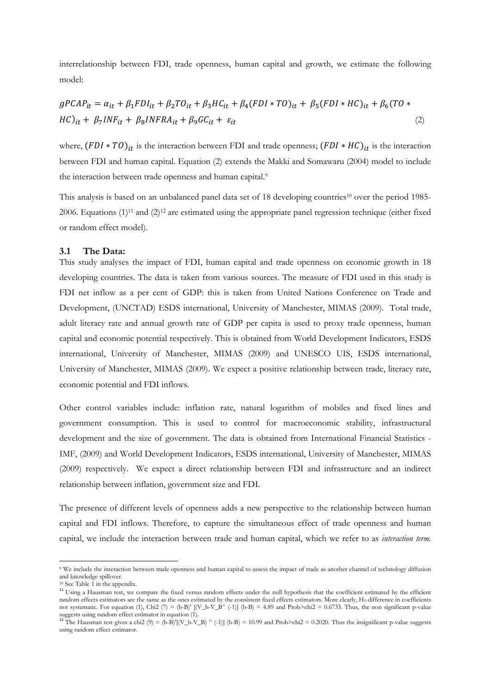interrelationship between FDI, trade openness, human capital and growth, we estimate the following model:

$$
gPCAP_{it} = \alpha_{it} + \beta_1 FDI_{it} + \beta_2 TO_{it} + \beta_3 HC_{it} + \beta_4 (FDI * TO)_{it} + \beta_5 (FDI * HC)_{it} + \beta_6 (TO * HC)_{it} + \beta_7 INF_{it} + \beta_8 INFRA_{it} + \beta_9 GC_{it} + \varepsilon_{it}
$$
\n
$$
(2)
$$

where,  $(FDI * TO)_{it}$  is the interaction between FDI and trade openness;  $(FDI * HC)_{it}$  is the interaction between FDI and human capital. Equation (2) extends the Makki and Somawaru (2004) model to include the interaction between trade openness and human capital.<sup>9</sup>

This analysis is based on an unbalanced panel data set of 18 developing countries<sup>10</sup> over the period 1985-2006. Equations  $(1)^{11}$  and  $(2)^{12}$  are estimated using the appropriate panel regression technique (either fixed or random effect model).

## 3.1 The Data:

This study analyses the impact of FDI, human capital and trade openness on economic growth in 18 developing countries. The data is taken from various sources. The measure of FDI used in this study is FDI net inflow as a per cent of GDP: this is taken from United Nations Conference on Trade and Development, (UNCTAD) ESDS international, University of Manchester, MIMAS (2009). Total trade, adult literacy rate and annual growth rate of GDP per capita is used to proxy trade openness, human capital and economic potential respectively. This is obtained from World Development Indicators, ESDS international, University of Manchester, MIMAS (2009) and UNESCO UIS, ESDS international, University of Manchester, MIMAS (2009). We expect a positive relationship between trade, literacy rate, economic potential and FDI inflows.

Other control variables include: inflation rate, natural logarithm of mobiles and fixed lines and government consumption. This is used to control for macroeconomic stability, infrastructural development and the size of government. The data is obtained from International Financial Statistics - IMF, (2009) and World Development Indicators, ESDS international, University of Manchester, MIMAS (2009) respectively. We expect a direct relationship between FDI and infrastructure and an indirect relationship between inflation, government size and FDI.

The presence of different levels of openness adds a new perspective to the relationship between human capital and FDI inflows. Therefore, to capture the simultaneous effect of trade openness and human capital, we include the interaction between trade and human capital, which we refer to as *interaction term*.

l

We include the interaction between trade openness and human capital to assess the impact of trade as another channel of technology diffusion and knowledge spillover.

<sup>&</sup>lt;sup>10</sup> See Table 1 in the appendix.

<sup>&</sup>lt;sup>11</sup> Using a Hausman test, we compare the fixed versus random effects under the null hypothesis that the coefficient estimated by the efficient random effects estimators are the same as the ones estimated by the consistent fixed effects estimators. More clearly, H<sub>0</sub> difference in coefficients not systematic. For equation (1), Chi2 (7) = (b-B)' [(V\_b-V\_B^ (-1)] (b-B) = 4.89 and Prob>chi2 = 0.6733. Thus, the non significant p-value suggests using random effect estimator in equation (1).<br><sup>12</sup> The Hausman test gives a chi2 (9) = (b-B)'[(V\_b-V\_B) ^ (-1)] (b-B) = 10.99 and Prob>chi2 = 0.2020. Thus the insignificant p-value suggests

using random effect estimator.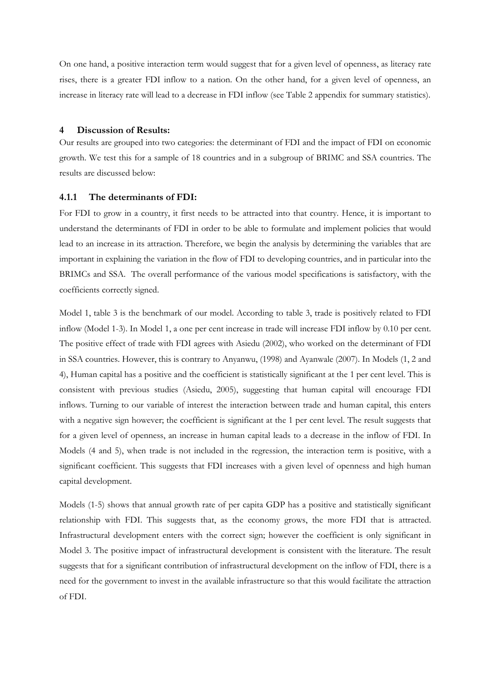On one hand, a positive interaction term would suggest that for a given level of openness, as literacy rate rises, there is a greater FDI inflow to a nation. On the other hand, for a given level of openness, an increase in literacy rate will lead to a decrease in FDI inflow (see Table 2 appendix for summary statistics).

## 4 Discussion of Results:

Our results are grouped into two categories: the determinant of FDI and the impact of FDI on economic growth. We test this for a sample of 18 countries and in a subgroup of BRIMC and SSA countries. The results are discussed below:

#### 4.1.1 The determinants of FDI:

For FDI to grow in a country, it first needs to be attracted into that country. Hence, it is important to understand the determinants of FDI in order to be able to formulate and implement policies that would lead to an increase in its attraction. Therefore, we begin the analysis by determining the variables that are important in explaining the variation in the flow of FDI to developing countries, and in particular into the BRIMCs and SSA. The overall performance of the various model specifications is satisfactory, with the coefficients correctly signed.

Model 1, table 3 is the benchmark of our model. According to table 3, trade is positively related to FDI inflow (Model 1-3). In Model 1, a one per cent increase in trade will increase FDI inflow by 0.10 per cent. The positive effect of trade with FDI agrees with Asiedu (2002), who worked on the determinant of FDI in SSA countries. However, this is contrary to Anyanwu, (1998) and Ayanwale (2007). In Models (1, 2 and 4), Human capital has a positive and the coefficient is statistically significant at the 1 per cent level. This is consistent with previous studies (Asiedu, 2005), suggesting that human capital will encourage FDI inflows. Turning to our variable of interest the interaction between trade and human capital, this enters with a negative sign however; the coefficient is significant at the 1 per cent level. The result suggests that for a given level of openness, an increase in human capital leads to a decrease in the inflow of FDI. In Models (4 and 5), when trade is not included in the regression, the interaction term is positive, with a significant coefficient. This suggests that FDI increases with a given level of openness and high human capital development.

Models (1-5) shows that annual growth rate of per capita GDP has a positive and statistically significant relationship with FDI. This suggests that, as the economy grows, the more FDI that is attracted. Infrastructural development enters with the correct sign; however the coefficient is only significant in Model 3. The positive impact of infrastructural development is consistent with the literature. The result suggests that for a significant contribution of infrastructural development on the inflow of FDI, there is a need for the government to invest in the available infrastructure so that this would facilitate the attraction of FDI.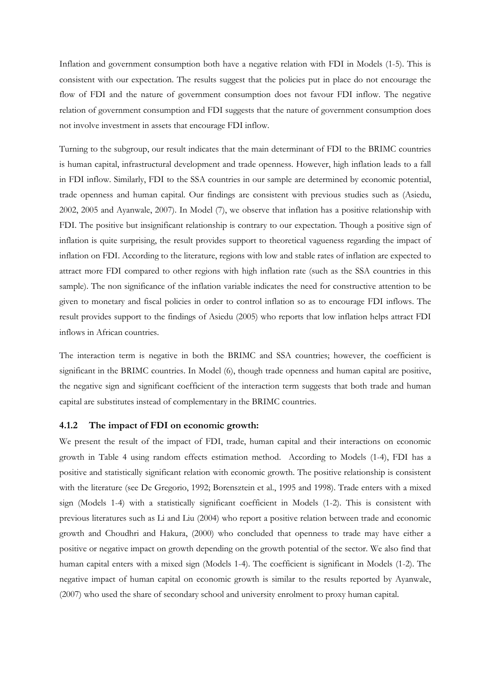Inflation and government consumption both have a negative relation with FDI in Models (1-5). This is consistent with our expectation. The results suggest that the policies put in place do not encourage the flow of FDI and the nature of government consumption does not favour FDI inflow. The negative relation of government consumption and FDI suggests that the nature of government consumption does not involve investment in assets that encourage FDI inflow.

Turning to the subgroup, our result indicates that the main determinant of FDI to the BRIMC countries is human capital, infrastructural development and trade openness. However, high inflation leads to a fall in FDI inflow. Similarly, FDI to the SSA countries in our sample are determined by economic potential, trade openness and human capital. Our findings are consistent with previous studies such as (Asiedu, 2002, 2005 and Ayanwale, 2007). In Model (7), we observe that inflation has a positive relationship with FDI. The positive but insignificant relationship is contrary to our expectation. Though a positive sign of inflation is quite surprising, the result provides support to theoretical vagueness regarding the impact of inflation on FDI. According to the literature, regions with low and stable rates of inflation are expected to attract more FDI compared to other regions with high inflation rate (such as the SSA countries in this sample). The non significance of the inflation variable indicates the need for constructive attention to be given to monetary and fiscal policies in order to control inflation so as to encourage FDI inflows. The result provides support to the findings of Asiedu (2005) who reports that low inflation helps attract FDI inflows in African countries.

The interaction term is negative in both the BRIMC and SSA countries; however, the coefficient is significant in the BRIMC countries. In Model (6), though trade openness and human capital are positive, the negative sign and significant coefficient of the interaction term suggests that both trade and human capital are substitutes instead of complementary in the BRIMC countries.

## 4.1.2 The impact of FDI on economic growth:

We present the result of the impact of FDI, trade, human capital and their interactions on economic growth in Table 4 using random effects estimation method. According to Models (1-4), FDI has a positive and statistically significant relation with economic growth. The positive relationship is consistent with the literature (see De Gregorio, 1992; Borensztein et al., 1995 and 1998). Trade enters with a mixed sign (Models 1-4) with a statistically significant coefficient in Models (1-2). This is consistent with previous literatures such as Li and Liu (2004) who report a positive relation between trade and economic growth and Choudhri and Hakura, (2000) who concluded that openness to trade may have either a positive or negative impact on growth depending on the growth potential of the sector. We also find that human capital enters with a mixed sign (Models 1-4). The coefficient is significant in Models (1-2). The negative impact of human capital on economic growth is similar to the results reported by Ayanwale, (2007) who used the share of secondary school and university enrolment to proxy human capital.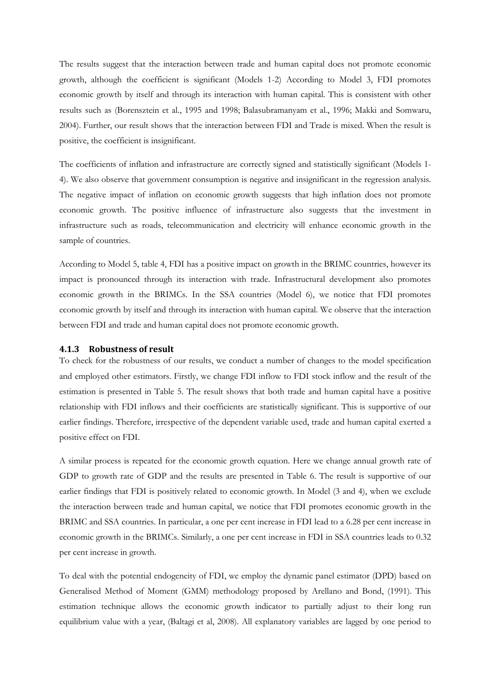The results suggest that the interaction between trade and human capital does not promote economic growth, although the coefficient is significant (Models 1-2) According to Model 3, FDI promotes economic growth by itself and through its interaction with human capital. This is consistent with other results such as (Borensztein et al., 1995 and 1998; Balasubramanyam et al., 1996; Makki and Somwaru, 2004). Further, our result shows that the interaction between FDI and Trade is mixed. When the result is positive, the coefficient is insignificant.

The coefficients of inflation and infrastructure are correctly signed and statistically significant (Models 1- 4). We also observe that government consumption is negative and insignificant in the regression analysis. The negative impact of inflation on economic growth suggests that high inflation does not promote economic growth. The positive influence of infrastructure also suggests that the investment in infrastructure such as roads, telecommunication and electricity will enhance economic growth in the sample of countries.

According to Model 5, table 4, FDI has a positive impact on growth in the BRIMC countries, however its impact is pronounced through its interaction with trade. Infrastructural development also promotes economic growth in the BRIMCs. In the SSA countries (Model 6), we notice that FDI promotes economic growth by itself and through its interaction with human capital. We observe that the interaction between FDI and trade and human capital does not promote economic growth.

## 4.1.3 Robustness of result

To check for the robustness of our results, we conduct a number of changes to the model specification and employed other estimators. Firstly, we change FDI inflow to FDI stock inflow and the result of the estimation is presented in Table 5. The result shows that both trade and human capital have a positive relationship with FDI inflows and their coefficients are statistically significant. This is supportive of our earlier findings. Therefore, irrespective of the dependent variable used, trade and human capital exerted a positive effect on FDI.

A similar process is repeated for the economic growth equation. Here we change annual growth rate of GDP to growth rate of GDP and the results are presented in Table 6. The result is supportive of our earlier findings that FDI is positively related to economic growth. In Model (3 and 4), when we exclude the interaction between trade and human capital, we notice that FDI promotes economic growth in the BRIMC and SSA countries. In particular, a one per cent increase in FDI lead to a 6.28 per cent increase in economic growth in the BRIMCs. Similarly, a one per cent increase in FDI in SSA countries leads to 0.32 per cent increase in growth.

To deal with the potential endogeneity of FDI, we employ the dynamic panel estimator (DPD) based on Generalised Method of Moment (GMM) methodology proposed by Arellano and Bond, (1991). This estimation technique allows the economic growth indicator to partially adjust to their long run equilibrium value with a year, (Baltagi et al, 2008). All explanatory variables are lagged by one period to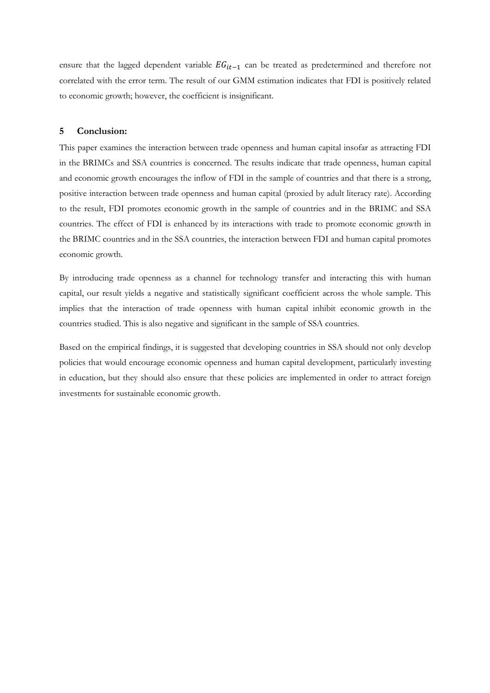ensure that the lagged dependent variable  $EG_{it-1}$  can be treated as predetermined and therefore not correlated with the error term. The result of our GMM estimation indicates that FDI is positively related to economic growth; however, the coefficient is insignificant.

## 5 Conclusion:

This paper examines the interaction between trade openness and human capital insofar as attracting FDI in the BRIMCs and SSA countries is concerned. The results indicate that trade openness, human capital and economic growth encourages the inflow of FDI in the sample of countries and that there is a strong, positive interaction between trade openness and human capital (proxied by adult literacy rate). According to the result, FDI promotes economic growth in the sample of countries and in the BRIMC and SSA countries. The effect of FDI is enhanced by its interactions with trade to promote economic growth in the BRIMC countries and in the SSA countries, the interaction between FDI and human capital promotes economic growth.

By introducing trade openness as a channel for technology transfer and interacting this with human capital, our result yields a negative and statistically significant coefficient across the whole sample. This implies that the interaction of trade openness with human capital inhibit economic growth in the countries studied. This is also negative and significant in the sample of SSA countries.

Based on the empirical findings, it is suggested that developing countries in SSA should not only develop policies that would encourage economic openness and human capital development, particularly investing in education, but they should also ensure that these policies are implemented in order to attract foreign investments for sustainable economic growth.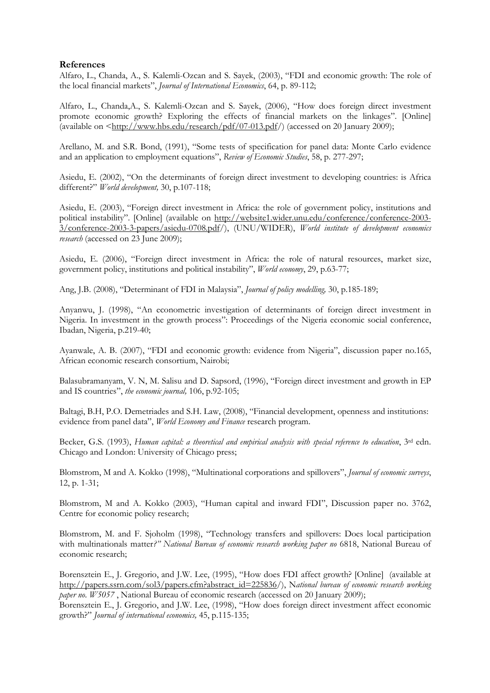## References

Alfaro, L., Chanda, A., S. Kalemli-Ozcan and S. Sayek, (2003), "FDI and economic growth: The role of the local financial markets", Journal of International Economics, 64, p. 89-112;

Alfaro, L., Chanda,A., S. Kalemli-Ozcan and S. Sayek, (2006), "How does foreign direct investment promote economic growth? Exploring the effects of financial markets on the linkages". [Online] (available on  $\langle \frac{\text{http://www.hbs.edu/research/pdf/07-013.pdf}}{\text{after/13.pdf/}} \rangle$  (accessed on 20 January 2009);

Arellano, M. and S.R. Bond, (1991), "Some tests of specification for panel data: Monte Carlo evidence and an application to employment equations", Review of Economic Studies, 58, p. 277-297;

Asiedu, E. (2002), "On the determinants of foreign direct investment to developing countries: is Africa different?" World development, 30, p.107-118;

Asiedu, E. (2003), "Foreign direct investment in Africa: the role of government policy, institutions and political instability". [Online] (available on http://website1.wider.unu.edu/conference/conference-2003- 3/conference-2003-3-papers/asiedu-0708.pdf/), (UNU/WIDER), World institute of development economics research (accessed on 23 June 2009);

Asiedu, E. (2006), "Foreign direct investment in Africa: the role of natural resources, market size, government policy, institutions and political instability", World economy, 29, p.63-77;

Ang, J.B. (2008), "Determinant of FDI in Malaysia", Journal of policy modelling, 30, p.185-189;

Anyanwu, J. (1998), "An econometric investigation of determinants of foreign direct investment in Nigeria. In investment in the growth process": Proceedings of the Nigeria economic social conference, Ibadan, Nigeria, p.219-40;

Ayanwale, A. B. (2007), "FDI and economic growth: evidence from Nigeria", discussion paper no.165, African economic research consortium, Nairobi;

Balasubramanyam, V. N, M. Salisu and D. Sapsord, (1996), "Foreign direct investment and growth in EP and IS countries", the economic journal, 106, p.92-105;

Baltagi, B.H, P.O. Demetriades and S.H. Law, (2008), "Financial development, openness and institutions: evidence from panel data", World Economy and Finance research program.

Becker, G.S. (1993), Human capital: a theoretical and empirical analysis with special reference to education, 3<sup>rd</sup> edn. Chicago and London: University of Chicago press;

Blomstrom, M and A. Kokko (1998), "Multinational corporations and spillovers", Journal of economic surveys, 12, p. 1-31;

Blomstrom, M and A. Kokko (2003), "Human capital and inward FDI", Discussion paper no. 3762, Centre for economic policy research;

Blomstrom, M. and F. Sjoholm (1998), "Technology transfers and spillovers: Does local participation with multinationals matter?" National Bureau of economic research working paper no 6818, National Bureau of economic research;

Borensztein E., J. Gregorio, and J.W. Lee, (1995), "How does FDI affect growth? [Online] (available at http://papers.ssrn.com/sol3/papers.cfm?abstract\_id=225836/), National bureau of economic research working paper no. W5057 , National Bureau of economic research (accessed on 20 January 2009);

Borensztein E., J. Gregorio, and J.W. Lee, (1998), "How does foreign direct investment affect economic growth?" Journal of international economics, 45, p.115-135;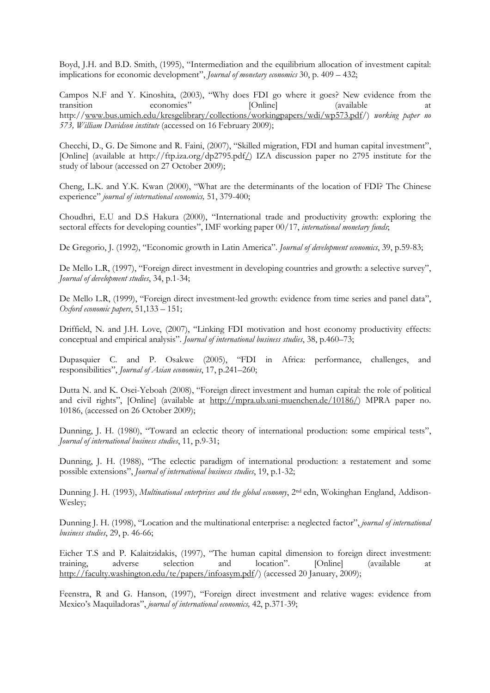Boyd, J.H. and B.D. Smith, (1995), "Intermediation and the equilibrium allocation of investment capital: implications for economic development", Journal of monetary economics 30, p. 409 - 432;

Campos N.F and Y. Kinoshita, (2003), "Why does FDI go where it goes? New evidence from the transition economies" [Online] (available at http://www.bus.umich.edu/kresgelibrary/collections/workingpapers/wdi/wp573.pdf/) working paper no 573, William Davidson institute (accessed on 16 February 2009);

Checchi, D., G. De Simone and R. Faini, (2007), "Skilled migration, FDI and human capital investment", [Online] (available at http://ftp.iza.org/dp2795.pdf/) IZA discussion paper no 2795 institute for the study of labour (accessed on 27 October 2009);

Cheng, L.K. and Y.K. Kwan (2000), "What are the determinants of the location of FDI? The Chinese experience" journal of international economics, 51, 379-400;

Choudhri, E.U and D.S Hakura (2000), "International trade and productivity growth: exploring the sectoral effects for developing counties", IMF working paper 00/17, international monetary funds;

De Gregorio, J. (1992), "Economic growth in Latin America". Journal of development economics, 39, p.59-83;

De Mello L.R, (1997), "Foreign direct investment in developing countries and growth: a selective survey", Journal of development studies, 34, p.1-34;

De Mello L.R, (1999), "Foreign direct investment-led growth: evidence from time series and panel data", Oxford economic papers, 51,133 – 151;

Driffield, N. and J.H. Love, (2007), "Linking FDI motivation and host economy productivity effects: conceptual and empirical analysis". Journal of international business studies, 38, p.460–73;

Dupasquier C. and P. Osakwe (2005), "FDI in Africa: performance, challenges, and responsibilities", Journal of Asian economies, 17, p.241–260;

Dutta N. and K. Osei-Yeboah (2008), "Foreign direct investment and human capital: the role of political and civil rights", [Online] (available at http://mpra.ub.uni-muenchen.de/10186/) MPRA paper no. 10186, (accessed on 26 October 2009);

Dunning, J. H. (1980), "Toward an eclectic theory of international production: some empirical tests", Journal of international business studies, 11, p.9-31;

Dunning, J. H. (1988), "The eclectic paradigm of international production: a restatement and some possible extensions", Journal of international business studies, 19, p.1-32;

Dunning J. H. (1993), *Multinational enterprises and the global economy*, 2<sup>nd</sup> edn, Wokinghan England, Addison-Wesley;

Dunning J. H. (1998), "Location and the multinational enterprise: a neglected factor", journal of international business studies, 29, p. 46-66;

Eicher T.S and P. Kalaitzidakis, (1997), "The human capital dimension to foreign direct investment: training, adverse selection and location". [Online] (available at http://faculty.washington.edu/te/papers/infoasym.pdf/) (accessed 20 January, 2009);

Feenstra, R and G. Hanson, (1997), "Foreign direct investment and relative wages: evidence from Mexico's Maquiladoras", journal of international economics, 42, p.371-39;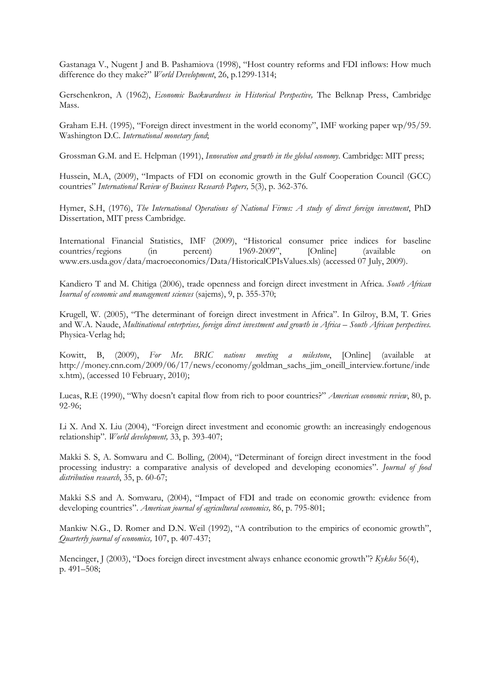Gastanaga V., Nugent J and B. Pashamiova (1998), "Host country reforms and FDI inflows: How much difference do they make?" World Development, 26, p.1299-1314;

Gerschenkron, A (1962), Economic Backwardness in Historical Perspective, The Belknap Press, Cambridge Mass.

Graham E.H. (1995), "Foreign direct investment in the world economy", IMF working paper wp/95/59. Washington D.C. International monetary fund;

Grossman G.M. and E. Helpman (1991), Innovation and growth in the global economy. Cambridge: MIT press;

Hussein, M.A, (2009), "Impacts of FDI on economic growth in the Gulf Cooperation Council (GCC) countries" International Review of Business Research Papers, 5(3), p. 362-376.

Hymer, S.H, (1976), The International Operations of National Firms: A study of direct foreign investment, PhD Dissertation, MIT press Cambridge.

International Financial Statistics, IMF (2009), "Historical consumer price indices for baseline countries/regions (in percent) 1969-2009", [Online] (available on www.ers.usda.gov/data/macroeconomics/Data/HistoricalCPIsValues.xls) (accessed 07 July, 2009).

Kandiero T and M. Chitiga (2006), trade openness and foreign direct investment in Africa. South African Iournal of economic and management sciences (sajems), 9, p. 355-370;

Krugell, W. (2005), "The determinant of foreign direct investment in Africa". In Gilroy, B.M, T. Gries and W.A. Naude, Multinational enterprises, foreign direct investment and growth in Africa – South African perspectives. Physica-Verlag hd;

Kowitt, B, (2009), For Mr. BRIC nations meeting a milestone, [Online] (available at http://money.cnn.com/2009/06/17/news/economy/goldman\_sachs\_jim\_oneill\_interview.fortune/inde x.htm), (accessed 10 February, 2010);

Lucas, R.E (1990), "Why doesn't capital flow from rich to poor countries?" American economic review, 80, p. 92-96;

Li X. And X. Liu (2004), "Foreign direct investment and economic growth: an increasingly endogenous relationship". World development, 33, p. 393-407;

Makki S. S, A. Somwaru and C. Bolling, (2004), "Determinant of foreign direct investment in the food processing industry: a comparative analysis of developed and developing economies". Journal of food distribution research, 35, p. 60-67;

Makki S.S and A. Somwaru, (2004), "Impact of FDI and trade on economic growth: evidence from developing countries". American journal of agricultural economics, 86, p. 795-801;

Mankiw N.G., D. Romer and D.N. Weil (1992), "A contribution to the empirics of economic growth", Quarterly journal of economics, 107, p. 407-437;

Mencinger, J (2003), "Does foreign direct investment always enhance economic growth"? Kyklos 56(4), p. 491–508;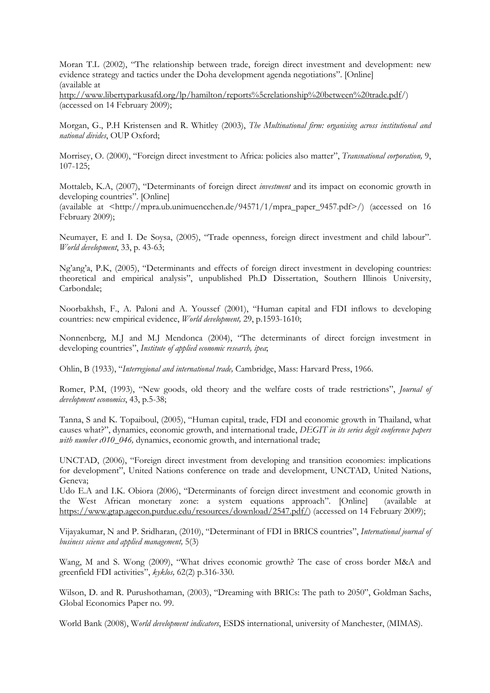Moran T.L (2002), "The relationship between trade, foreign direct investment and development: new evidence strategy and tactics under the Doha development agenda negotiations". [Online] (available at

http://www.libertyparkusafd.org/lp/hamilton/reports%5crelationship%20between%20trade.pdf/) (accessed on 14 February 2009);

Morgan, G., P.H Kristensen and R. Whitley (2003), The Multinational firm: organising across institutional and national divides, OUP Oxford;

Morrisey, O. (2000), "Foreign direct investment to Africa: policies also matter", Transnational corporation, 9, 107-125;

Mottaleb, K.A, (2007), "Determinants of foreign direct investment and its impact on economic growth in developing countries". [Online]

(available at <http://mpra.ub.unimuencchen.de/94571/1/mpra\_paper\_9457.pdf>/) (accessed on 16 February 2009);

Neumayer, E and I. De Soysa, (2005), "Trade openness, foreign direct investment and child labour". World development, 33, p. 43-63;

Ng'ang'a, P.K, (2005), "Determinants and effects of foreign direct investment in developing countries: theoretical and empirical analysis", unpublished Ph.D Dissertation, Southern Illinois University, Carbondale;

Noorbakhsh, F., A. Paloni and A. Youssef (2001), "Human capital and FDI inflows to developing countries: new empirical evidence, World development, 29, p.1593-1610;

Nonnenberg, M.J and M.J Mendonca (2004), "The determinants of direct foreign investment in developing countries", Institute of applied economic research, ipea;

Ohlin, B (1933), "Interregional and international trade, Cambridge, Mass: Harvard Press, 1966.

Romer, P.M, (1993), "New goods, old theory and the welfare costs of trade restrictions", Journal of development economics, 43, p.5-38;

Tanna, S and K. Topaiboul, (2005), "Human capital, trade, FDI and economic growth in Thailand, what causes what?", dynamics, economic growth, and international trade, DEGIT in its series degit conference papers with number  $c010$  046, dynamics, economic growth, and international trade;

UNCTAD, (2006), "Foreign direct investment from developing and transition economies: implications for development", United Nations conference on trade and development, UNCTAD, United Nations, Geneva;

Udo E.A and I.K. Obiora (2006), "Determinants of foreign direct investment and economic growth in the West African monetary zone: a system equations approach". [Online] (available at https://www.gtap.agecon.purdue.edu/resources/download/2547.pdf/) (accessed on 14 February 2009);

Vijayakumar, N and P. Sridharan, (2010), "Determinant of FDI in BRICS countries", International journal of business science and applied management, 5(3)

Wang, M and S. Wong (2009), "What drives economic growth? The case of cross border M&A and greenfield FDI activities", kyklos, 62(2) p.316-330.

Wilson, D. and R. Purushothaman, (2003), "Dreaming with BRICs: The path to 2050", Goldman Sachs, Global Economics Paper no. 99.

World Bank (2008), World development indicators, ESDS international, university of Manchester, (MIMAS).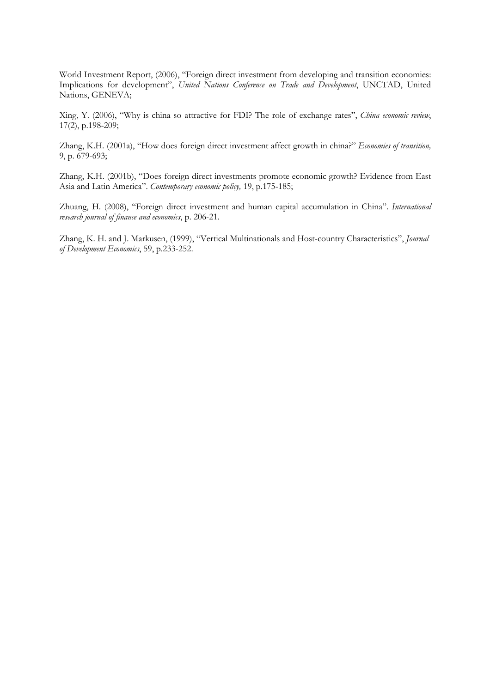World Investment Report, (2006), "Foreign direct investment from developing and transition economies: Implications for development", United Nations Conference on Trade and Development, UNCTAD, United Nations, GENEVA;

Xing, Y. (2006), "Why is china so attractive for FDI? The role of exchange rates", China economic review, 17(2), p.198-209;

Zhang, K.H. (2001a), "How does foreign direct investment affect growth in china?" Economies of transition, 9, p. 679-693;

Zhang, K.H. (2001b), "Does foreign direct investments promote economic growth? Evidence from East Asia and Latin America". Contemporary economic policy, 19, p.175-185;

Zhuang, H. (2008), "Foreign direct investment and human capital accumulation in China". International research journal of finance and economics, p. 206-21.

Zhang, K. H. and J. Markusen, (1999), "Vertical Multinationals and Host-country Characteristics", Journal of Development Economics, 59, p.233-252.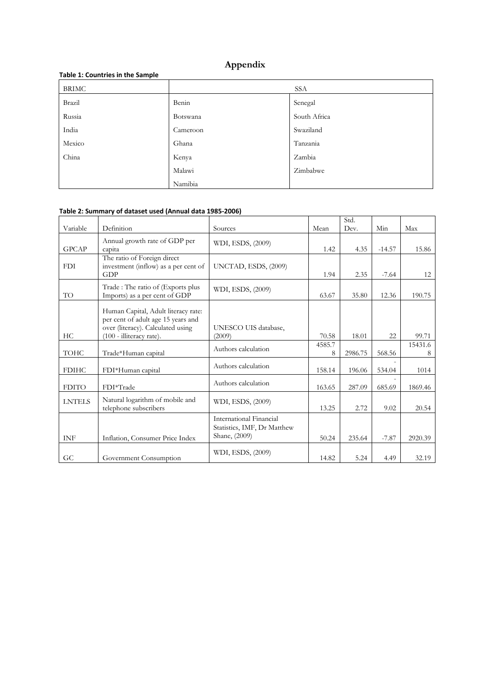# Appendix

| . .          |          |              |
|--------------|----------|--------------|
| <b>BRIMC</b> |          | <b>SSA</b>   |
| Brazil       | Benin    | Senegal      |
| Russia       | Botswana | South Africa |
| India        | Cameroon | Swaziland    |
| Mexico       | Ghana    | Tanzania     |
| China        | Kenya    | Zambia       |
|              | Malawi   | Zimbabwe     |
|              | Namibia  |              |

## Table 1: Countries in the Sample

# Table 2: Summary of dataset used (Annual data 1985-2006)

|               |                                                                                                                                            |                                                                         |             | Std.    |          |              |
|---------------|--------------------------------------------------------------------------------------------------------------------------------------------|-------------------------------------------------------------------------|-------------|---------|----------|--------------|
| Variable      | Definition                                                                                                                                 | Sources                                                                 | Mean        | Dev.    | Min      | Max          |
| <b>GPCAP</b>  | Annual growth rate of GDP per<br>capita                                                                                                    | WDI, ESDS, (2009)                                                       | 1.42        | 4.35    | $-14.57$ | 15.86        |
| <b>FDI</b>    | The ratio of Foreign direct<br>investment (inflow) as a per cent of<br>GDP                                                                 | UNCTAD, ESDS, (2009)                                                    | 1.94        | 2.35    | $-7.64$  | 12           |
| TO            | Trade: The ratio of (Exports plus<br>Imports) as a per cent of GDP                                                                         | WDI, ESDS, (2009)                                                       | 63.67       | 35.80   | 12.36    | 190.75       |
| HС            | Human Capital, Adult literacy rate:<br>per cent of adult age 15 years and<br>over (literacy). Calculated using<br>(100 - illiteracy rate). | UNESCO UIS database,<br>(2009)                                          | 70.58       | 18.01   | 22       | 99.71        |
| <b>TOHC</b>   | Trade*Human capital                                                                                                                        | Authors calculation                                                     | 4585.7<br>8 | 2986.75 | 568.56   | 15431.6<br>8 |
| <b>FDIHC</b>  | FDI*Human capital                                                                                                                          | Authors calculation                                                     | 158.14      | 196.06  | 534.04   | 1014         |
| <b>FDITO</b>  | FDI*Trade                                                                                                                                  | Authors calculation                                                     | 163.65      | 287.09  | 685.69   | 1869.46      |
| <b>LNTELS</b> | Natural logarithm of mobile and<br>telephone subscribers                                                                                   | WDI, ESDS, (2009)                                                       | 13.25       | 2.72    | 9.02     | 20.54        |
| <b>INF</b>    | Inflation, Consumer Price Index                                                                                                            | International Financial<br>Statistics, IMF, Dr Matthew<br>Shane, (2009) | 50.24       | 235.64  | $-7.87$  | 2920.39      |
| GC            | Government Consumption                                                                                                                     | WDI, ESDS, (2009)                                                       | 14.82       | 5.24    | 4.49     | 32.19        |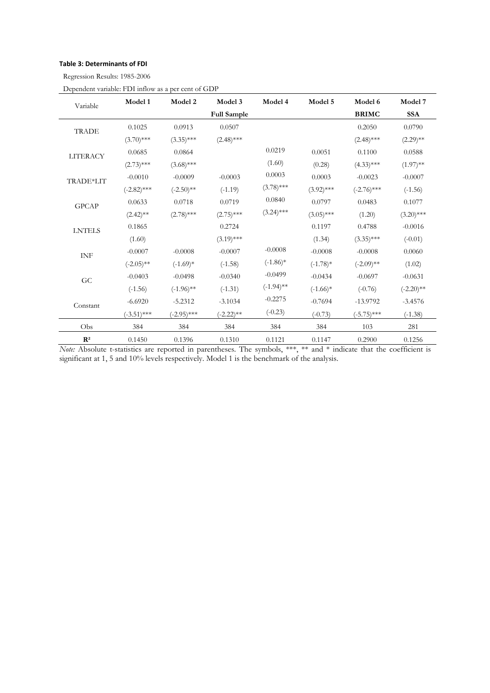## Table 3: Determinants of FDI

Regression Results: 1985-2006

| Variable        | Model 1       | Model 2       | Model 3            | Model 4      | Model 5      | Model 6       | Model 7      |
|-----------------|---------------|---------------|--------------------|--------------|--------------|---------------|--------------|
|                 |               |               | <b>Full Sample</b> |              |              | <b>BRIMC</b>  | <b>SSA</b>   |
| <b>TRADE</b>    | 0.1025        | 0.0913        | 0.0507             |              |              | 0.2050        | 0.0790       |
|                 | $(3.70)$ ***  | $(3.35)$ ***  | $(2.48)$ ***       |              |              | $(2.48)$ ***  | $(2.29)$ **  |
| <b>LITERACY</b> | 0.0685        | 0.0864        |                    | 0.0219       | 0.0051       | 0.1100        | 0.0588       |
|                 | $(2.73)$ ***  | $(3.68)$ ***  |                    | (1.60)       | (0.28)       | $(4.33)$ ***  | $(1.97)$ **  |
| TRADE*LIT       | $-0.0010$     | $-0.0009$     | $-0.0003$          | 0.0003       | 0.0003       | $-0.0023$     | $-0.0007$    |
|                 | $(-2.82)$ *** | $(-2.50)$ **  | $(-1.19)$          | $(3.78)$ *** | $(3.92)$ *** | $(-2.76)$ *** | $(-1.56)$    |
| <b>GPCAP</b>    | 0.0633        | 0.0718        | 0.0719             | 0.0840       | 0.0797       | 0.0483        | 0.1077       |
|                 | $(2.42)$ **   | $(2.78)$ ***  | $(2.75)$ ***       | $(3.24)$ *** | $(3.05)$ *** | (1.20)        | $(3.20)$ *** |
| <b>LNTELS</b>   | 0.1865        |               | 0.2724             |              | 0.1197       | 0.4788        | $-0.0016$    |
|                 | (1.60)        |               | $(3.19)$ ***       |              | (1.34)       | $(3.35)$ ***  | $(-0.01)$    |
| <b>INF</b>      | $-0.0007$     | $-0.0008$     | $-0.0007$          | $-0.0008$    | $-0.0008$    | $-0.0008$     | 0.0060       |
|                 | $(-2.05)$ **  | $(-1.69)*$    | $(-1.58)$          | $(-1.86)$ *  | $(-1.78)*$   | $(-2.09)$ **  | (1.02)       |
| G <sub>C</sub>  | $-0.0403$     | $-0.0498$     | $-0.0340$          | $-0.0499$    | $-0.0434$    | $-0.0697$     | $-0.0631$    |
|                 | $(-1.56)$     | $(-1.96)$ **  | $(-1.31)$          | $(-1.94)$ ** | $(-1.66)*$   | $(-0.76)$     | $(-2.20)$ ** |
| Constant        | $-6.6920$     | $-5.2312$     | $-3.1034$          | $-0.2275$    | $-0.7694$    | $-13.9792$    | $-3.4576$    |
|                 | $(-3.51)$ *** | $(-2.95)$ *** | $(-2.22)$ **       | $(-0.23)$    | $(-0.73)$    | $(-5.75)$ *** | $(-1.38)$    |
| Obs             | 384           | 384           | 384                | 384          | 384          | 103           | 281          |
| $\mathbf{R}^2$  | 0.1450        | 0.1396        | 0.1310             | 0.1121       | 0.1147       | 0.2900        | 0.1256       |

Dependent variable: FDI inflow as a per cent of GDP

Note: Absolute t-statistics are reported in parentheses. The symbols, \*\*\*, \*\* and \* indicate that the coefficient is significant at 1, 5 and 10% levels respectively. Model 1 is the benchmark of the analysis.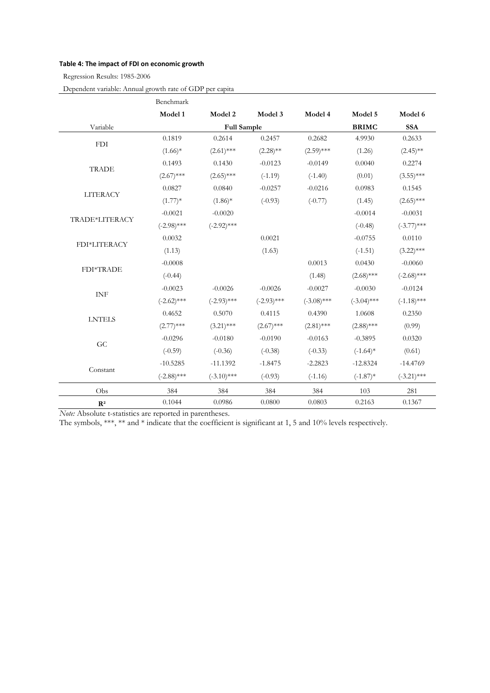## Table 4: The impact of FDI on economic growth

Regression Results: 1985-2006

Dependent variable: Annual growth rate of GDP per capita

|                 | Benchmark     |                    |               |               |               |               |
|-----------------|---------------|--------------------|---------------|---------------|---------------|---------------|
|                 | Model 1       | Model 2            | Model 3       | Model 4       | Model 5       | Model 6       |
| Variable        |               | <b>Full Sample</b> |               |               | <b>BRIMC</b>  | <b>SSA</b>    |
| <b>FDI</b>      | 0.1819        | 0.2614             | 0.2457        | 0.2682        | 4.9930        | 0.2633        |
|                 | $(1.66)$ *    | $(2.61)$ ***       | $(2.28)$ **   | $(2.59)$ ***  | (1.26)        | $(2.45)$ **   |
| <b>TRADE</b>    | 0.1493        | 0.1430             | $-0.0123$     | $-0.0149$     | 0.0040        | 0.2274        |
|                 | $(2.67)$ ***  | $(2.65)$ ***       | $(-1.19)$     | $(-1.40)$     | (0.01)        | $(3.55)$ ***  |
| <b>LITERACY</b> | 0.0827        | 0.0840             | $-0.0257$     | $-0.0216$     | 0.0983        | 0.1545        |
|                 | $(1.77)*$     | $(1.86)$ *         | $(-0.93)$     | $(-0.77)$     | (1.45)        | $(2.65)$ ***  |
|                 | $-0.0021$     | $-0.0020$          |               |               | $-0.0014$     | $-0.0031$     |
| TRADE*LITERACY  | $(-2.98)$ *** | $(-2.92)$ ***      |               |               | $(-0.48)$     | $(-3.77)$ *** |
| FDI*LITERACY    | 0.0032        |                    | 0.0021        |               | $-0.0755$     | 0.0110        |
|                 | (1.13)        |                    | (1.63)        |               | $(-1.51)$     | $(3.22)$ ***  |
| FDI*TRADE       | $-0.0008$     |                    |               | 0.0013        | 0.0430        | $-0.0060$     |
|                 | $(-0.44)$     |                    |               | (1.48)        | $(2.68)$ ***  | $(-2.68)$ *** |
| <b>INF</b>      | $-0.0023$     | $-0.0026$          | $-0.0026$     | $-0.0027$     | $-0.0030$     | $-0.0124$     |
|                 | $(-2.62)$ *** | $(-2.93)$ ***      | $(-2.93)$ *** | $(-3.08)$ *** | $(-3.04)$ *** | $(-1.18)$ *** |
|                 | 0.4652        | 0.5070             | 0.4115        | 0.4390        | 1.0608        | 0.2350        |
| <b>LNTELS</b>   | $(2.77)$ ***  | $(3.21)$ ***       | $(2.67)$ ***  | $(2.81)$ ***  | $(2.88)$ ***  | (0.99)        |
| GC              | $-0.0296$     | $-0.0180$          | $-0.0190$     | $-0.0163$     | $-0.3895$     | 0.0320        |
|                 | $(-0.59)$     | $(-0.36)$          | $(-0.38)$     | $(-0.33)$     | $(-1.64)$ *   | (0.61)        |
|                 | $-10.5285$    | $-11.1392$         | $-1.8475$     | $-2.2823$     | $-12.8324$    | $-14.4769$    |
| Constant        | $(-2.88)$ *** | $(-3.10)$ ***      | $(-0.93)$     | $(-1.16)$     | $(-1.87)$ *   | $(-3.21)$ *** |
| Obs             | 384           | 384                | 384           | 384           | 103           | 281           |
| $\mathbf{R}^2$  | 0.1044        | 0.0986             | 0.0800        | 0.0803        | 0.2163        | 0.1367        |

Note: Absolute t-statistics are reported in parentheses.

The symbols, \*\*\*, \*\* and \* indicate that the coefficient is significant at 1, 5 and 10% levels respectively.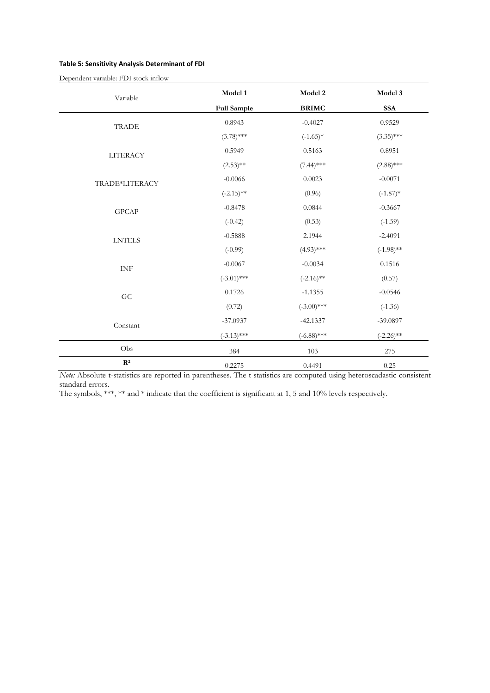## Table 5: Sensitivity Analysis Determinant of FDI

| Variable        | Model 1            | Model 2       | Model 3      |
|-----------------|--------------------|---------------|--------------|
|                 | <b>Full Sample</b> | <b>BRIMC</b>  | <b>SSA</b>   |
| <b>TRADE</b>    | 0.8943             | $-0.4027$     | 0.9529       |
|                 | $(3.78)$ ***       | $(-1.65)*$    | $(3.35)$ *** |
| <b>LITERACY</b> | 0.5949             | 0.5163        | 0.8951       |
|                 | $(2.53)$ **        | $(7.44)$ ***  | $(2.88)$ *** |
| TRADE*LITERACY  | $-0.0066$          | 0.0023        | $-0.0071$    |
|                 | $(-2.15)$ **       | (0.96)        | $(-1.87)$ *  |
| GPCAP           | $-0.8478$          | 0.0844        | $-0.3667$    |
|                 | $(-0.42)$          | (0.53)        | $(-1.59)$    |
| ${\rm LNTELS}$  | $-0.5888$          | 2.1944        | $-2.4091$    |
|                 | $(-0.99)$          | $(4.93)$ ***  | $(-1.98)$ ** |
| <b>INF</b>      | $-0.0067$          | $-0.0034$     | 0.1516       |
|                 | $(-3.01)$ ***      | $(-2.16)$ **  | (0.57)       |
| ${\rm GC}$      | 0.1726             | $-1.1355$     | $-0.0546$    |
|                 | (0.72)             | $(-3.00)$ *** | $(-1.36)$    |
| Constant        | $-37.0937$         | $-42.1337$    | $-39.0897$   |
|                 | $(-3.13)$ ***      | $(-6.88)$ *** | $(-2.26)$ ** |
| Obs             | 384                | 103           | $275\,$      |
| $\mathbf{R}^2$  | 0.2275             | 0.4491        | 0.25         |

Note: Absolute t-statistics are reported in parentheses. The t statistics are computed using heteroscadastic consistent standard errors.

The symbols, \*\*\*, \*\* and \* indicate that the coefficient is significant at 1, 5 and 10% levels respectively.